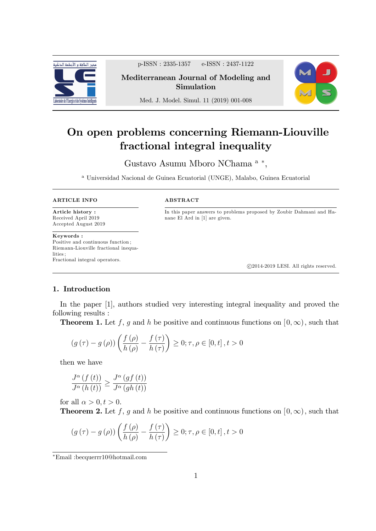

p-ISSN : 2335-1357 e-ISSN : 2437-1122

Mediterranean Journal of Modeling and Simulation



Med. J. Model. Simul. 11 (2019) 001-008

# On open problems concerning Riemann-Liouville fractional integral inequality

Gustavo Asumu Mboro NChama <sup>a</sup>\*,

<sup>a</sup> Universidad Nacional de Guinea Ecuatorial (UNGE), Malabo, Guinea Ecuatorial

#### ARTICLE INFO

Article history : Received April 2019 Accepted August 2019

Keywords : Positive and continuous function ; Riemann-Liouville fractional inequalities **i** Fractional integral operators.

#### ABSTRACT

In this paper answers to problems proposed by Zoubir Dahmani and Hanane El Ard in [1] are given.

c 2014-2019 LESI. All rights reserved.

# 1. Introduction

In the paper [1], authors studied very interesting integral inequality and proved the following results :

**Theorem 1.** Let f, g and h be positive and continuous functions on  $[0,\infty)$ , such that

$$
(g(\tau) - g(\rho)) \left( \frac{f(\rho)}{h(\rho)} - \frac{f(\tau)}{h(\tau)} \right) \ge 0; \tau, \rho \in [0, t], t > 0
$$

then we have

$$
\frac{J^{\alpha}(f(t))}{J^{\alpha}(h(t))} \ge \frac{J^{\alpha}(gf(t))}{J^{\alpha}(gh(t))}
$$

for all  $\alpha > 0, t > 0$ .

**Theorem 2.** Let f, g and h be positive and continuous functions on  $[0,\infty)$ , such that

$$
(g(\tau) - g(\rho)) \left( \frac{f(\rho)}{h(\rho)} - \frac{f(\tau)}{h(\tau)} \right) \ge 0; \tau, \rho \in [0, t], t > 0
$$

Email :becquerrr10@hotmail.com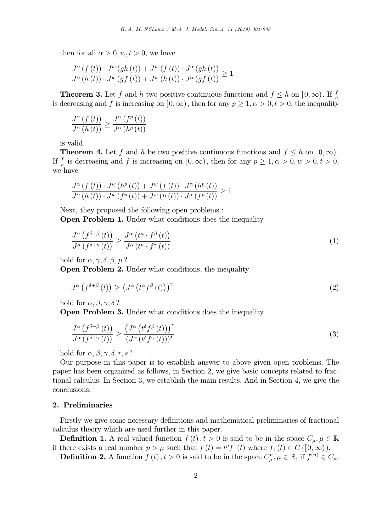then for all  $\alpha > 0, w, t > 0$ , we have

$$
\frac{J^{\alpha}(f(t)) \cdot J^{w}(gh(t)) + J^{w}(f(t)) \cdot J^{\alpha}(gh(t))}{J^{\alpha}(h(t)) \cdot J^{w}(gf(t)) + J^{w}(h(t)) \cdot J^{\alpha}(gf(t))} \ge 1
$$

**Theorem 3.** Let f and h two positive continuous functions and  $f \leq h$  on  $[0,\infty)$ . If  $\frac{f}{h}$ is decreasing and f is increasing on  $[0, \infty)$ , then for any  $p \ge 1, \alpha > 0, t > 0$ , the inequality

$$
\frac{J^{\alpha}(f(t))}{J^{\alpha}(h(t))} \ge \frac{J^{\alpha}(f^{p}(t))}{J^{\alpha}(h^{p}(t))}
$$

is valid.

**Theorem 4.** Let f and h be two positive continuous functions and  $f \leq h$  on  $[0,\infty)$ . If  $\frac{f}{h}$  is decreasing and f is increasing on  $[0,\infty)$ , then for any  $p \ge 1, \alpha > 0, w > 0, t > 0$ , we have

$$
\frac{J^{\alpha}(f(t)) \cdot J^{w}(h^{p}(t)) + J^{w}(f(t)) \cdot J^{\alpha}(h^{p}(t))}{J^{\alpha}(h(t)) \cdot J^{w}(f^{p}(t)) + J^{w}(h(t)) \cdot J^{\alpha}(f^{p}(t))} \ge 1
$$

Next, they proposed the following open problems : Open Problem 1. Under what conditions does the inequality

$$
\frac{J^{\alpha}\left(f^{\delta+\beta}\left(t\right)\right)}{J^{\alpha}\left(f^{\delta+\gamma}\left(t\right)\right)} \geq \frac{J^{\alpha}\left(t^{\mu}\cdot f^{\beta}\left(t\right)\right)}{J^{\alpha}\left(t^{\mu}\cdot f^{\gamma}\left(t\right)\right)}\tag{1}
$$

hold for  $\alpha, \gamma, \delta, \beta, \mu$ ?

Open Problem 2. Under what conditions, the inequality

$$
J^{\alpha}\left(f^{\delta+\beta}\left(t\right)\right) \ge \left(J^{\alpha}\left(t^{\alpha}f^{\beta}\left(t\right)\right)\right)^{\gamma}
$$
\n<sup>(2)</sup>

hold for  $\alpha, \beta, \gamma, \delta$ ?

Open Problem 3. Under what conditions does the inequality

$$
\frac{J^{\alpha}\left(f^{\delta+\beta}\left(t\right)\right)}{J^{\alpha}\left(f^{\delta+\gamma}\left(t\right)\right)} \geq \frac{\left(J^{\alpha}\left(t^{\delta}f^{\beta}\left(t\right)\right)\right)^{r}}{\left(J^{\alpha}\left(t^{\delta}f^{\gamma}\left(t\right)\right)\right)^{s}}
$$
\n(3)

hold for  $\alpha, \beta, \gamma, \delta, r, s$ ?

Our purpose in this paper is to establish answer to above given open problems. The paper has been organized as follows, in Section 2, we give basic concepts related to fractional calculus. In Section 3, we establish the main results. And in Section 4, we give the conclusions.

## 2. Preliminaries

Firstly we give some necessary definitions and mathematical preliminaries of fractional calculus theory which are used further in this paper.

**Definition 1.** A real valued function  $f(t)$ ,  $t > 0$  is said to be in the space  $C_{\mu}$ ,  $\mu \in \mathbb{R}$ if there exists a real number  $p > \mu$  such that  $f(t) = t^p f_1(t)$  where  $f_1(t) \in C([0,\infty))$ .

**Definition 2.** A function  $f(t)$ ,  $t > 0$  is said to be in the space  $C_{\mu}^{n}$ ,  $\mu \in \mathbb{R}$ , if  $f^{(n)} \in C_{\mu}$ .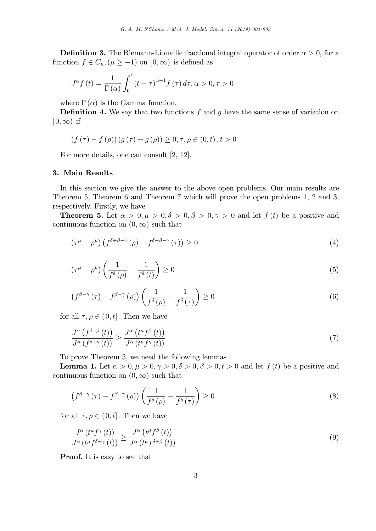**Definition 3.** The Riemann-Liouville fractional integral operator of order  $\alpha > 0$ , for a function  $f \in C_{\mu}, (\mu \ge -1)$  on  $[0,\infty)$  is defined as

$$
J^{\alpha} f(t) = \frac{1}{\Gamma(\alpha)} \int_0^t (t - \tau)^{\alpha - 1} f(\tau) d\tau, \alpha > 0, \tau > 0
$$

where  $\Gamma(\alpha)$  is the Gamma function.

**Definition 4.** We say that two functions  $f$  and  $g$  have the same sense of variation on  $[0,\infty)$  if

$$
(f(\tau) - f(\rho)) (g(\tau) - g(\rho)) \ge 0, \tau, \rho \in (0, t), t > 0
$$

For more details, one can consult [2, 12].

## 3. Main Results

In this section we give the answer to the above open problems. Our main results are Theorem 5, Theorem 6 and Theorem 7 which will prove the open problems 1, 2 and 3, respectively. Firstly, we have

**Theorem 5.** Let  $\alpha > 0, \mu > 0, \delta > 0, \beta > 0, \gamma > 0$  and let  $f(t)$  be a positive and continuous function on  $(0,\infty)$  such that

$$
\left(\tau^{\mu} - \rho^{\mu}\right)\left(f^{\delta + \beta - \gamma}\left(\rho\right) - f^{\delta + \beta - \gamma}\left(\tau\right)\right) \ge 0\tag{4}
$$

$$
\left(\tau^{\mu} - \rho^{\mu}\right) \left(\frac{1}{f^{\delta}\left(\rho\right)} - \frac{1}{f^{\delta}\left(t\right)}\right) \ge 0\tag{5}
$$

$$
\left(f^{\beta-\gamma}\left(\tau\right)-f^{\beta-\gamma}\left(\rho\right)\right)\left(\frac{1}{f^{\delta}\left(\rho\right)}-\frac{1}{f^{\delta}\left(\tau\right)}\right)\geq 0\tag{6}
$$

for all  $\tau, \rho \in (0, t]$ . Then we have

$$
\frac{J^{\alpha}\left(f^{\delta+\beta}\left(t\right)\right)}{J^{\alpha}\left(f^{\delta+\gamma}\left(t\right)\right)} \geq \frac{J^{\alpha}\left(t^{\mu}f^{\beta}\left(t\right)\right)}{J^{\alpha}\left(t^{\mu}f^{\gamma}\left(t\right)\right)}\tag{7}
$$

To prove Theorem 5, we need the following lemmas

**Lemma 1.** Let  $\alpha > 0, \mu > 0, \gamma > 0, \delta > 0, \beta > 0, t > 0$  and let  $f(t)$  be a positive and continuous function on  $(0,\infty)$  such that

$$
\left(f^{\beta-\gamma}\left(\tau\right)-f^{\beta-\gamma}\left(\rho\right)\right)\left(\frac{1}{f^{\delta}\left(\rho\right)}-\frac{1}{f^{\delta}\left(\tau\right)}\right)\geq 0\tag{8}
$$

for all  $\tau, \rho \in (0, t]$ . Then we have

$$
\frac{J^{\alpha}\left(t^{\mu}f^{\gamma}\left(t\right)\right)}{J^{\alpha}\left(t^{\mu}f^{\delta+\gamma}\left(t\right)\right)} \geq \frac{J^{\alpha}\left(t^{\mu}f^{\beta}\left(t\right)\right)}{J^{\alpha}\left(t^{\mu}f^{\delta+\beta}\left(t\right)\right)}\tag{9}
$$

Proof. It is easy to see that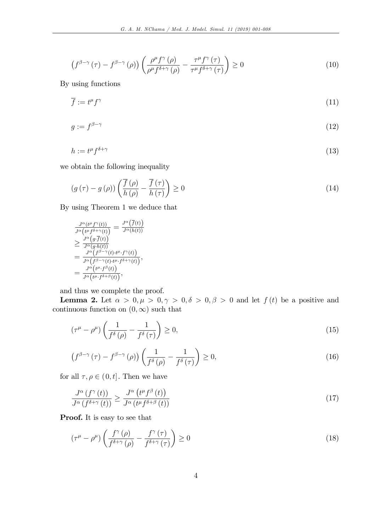$$
\left(f^{\beta-\gamma}\left(\tau\right)-f^{\beta-\gamma}\left(\rho\right)\right)\left(\frac{\rho^{\mu}f^{\gamma}\left(\rho\right)}{\rho^{\mu}f^{\delta+\gamma}\left(\rho\right)}-\frac{\tau^{\mu}f^{\gamma}\left(\tau\right)}{\tau^{\mu}f^{\delta+\gamma}\left(\tau\right)}\right)\geq 0\tag{10}
$$

By using functions

$$
\overline{f} := t^{\mu} f^{\gamma} \tag{11}
$$

$$
g := f^{\beta - \gamma} \tag{12}
$$

$$
h := t^{\mu} f^{\delta + \gamma} \tag{13}
$$

we obtain the following inequality

$$
(g(\tau) - g(\rho)) \left( \frac{\overline{f}(\rho)}{h(\rho)} - \frac{\overline{f}(\tau)}{h(\tau)} \right) \ge 0
$$
\n(14)

By using Theorem 1 we deduce that

$$
\frac{J^{\alpha}(t^{\mu}f^{\gamma}(t))}{J^{\alpha}(t^{\mu}f^{\delta+\gamma}(t))} = \frac{J^{\alpha}(\overline{f}(t))}{J^{\alpha}(h(t))}
$$
\n
$$
\geq \frac{J^{\alpha}(g \cdot \overline{f}(t))}{J^{\alpha}(g \cdot h(t))}
$$
\n
$$
= \frac{J^{\alpha}(f^{\beta-\gamma}(t) \cdot t^{\mu} \cdot f^{\gamma}(t))}{J^{\alpha}(f^{\beta-\gamma}(t) \cdot t^{\mu} \cdot f^{\delta+\gamma}(t))},
$$
\n
$$
= \frac{J^{\alpha}(t^{\mu} \cdot f^{\beta}(t))}{J^{\alpha}(t^{\mu} \cdot f^{\delta+\beta}(t))},
$$

and thus we complete the proof.

**Lemma 2.** Let  $\alpha > 0, \mu > 0, \gamma > 0, \delta > 0, \beta > 0$  and let  $f(t)$  be a positive and continuous function on  $(0,\infty)$  such that

$$
\left(\tau^{\mu} - \rho^{\mu}\right) \left(\frac{1}{f^{\delta}\left(\rho\right)} - \frac{1}{f^{\delta}\left(\tau\right)}\right) \ge 0,\tag{15}
$$

$$
\left(f^{\beta-\gamma}\left(\tau\right)-f^{\beta-\gamma}\left(\rho\right)\right)\left(\frac{1}{f^{\delta}\left(\rho\right)}-\frac{1}{f^{\delta}\left(\tau\right)}\right)\geq 0,\tag{16}
$$

for all  $\tau, \rho \in (0, t]$ . Then we have

$$
\frac{J^{\alpha}(f^{\gamma}(t))}{J^{\alpha}(f^{\delta+\gamma}(t))} \ge \frac{J^{\alpha}(t^{\mu}f^{\beta}(t))}{J^{\alpha}(t^{\mu}f^{\delta+\beta}(t))}
$$
\n(17)

Proof. It is easy to see that

$$
\left(\tau^{\mu} - \rho^{\mu}\right) \left(\frac{f^{\gamma}\left(\rho\right)}{f^{\delta + \gamma}\left(\rho\right)} - \frac{f^{\gamma}\left(\tau\right)}{f^{\delta + \gamma}\left(\tau\right)}\right) \ge 0\tag{18}
$$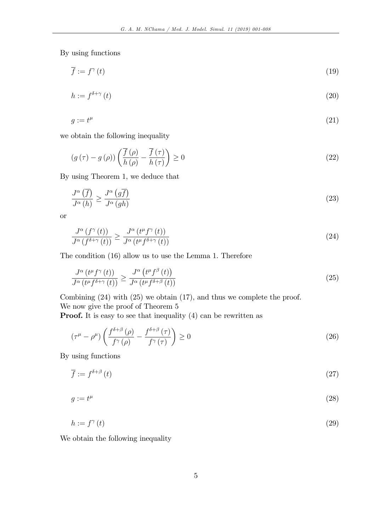By using functions

$$
\overline{f} := f^{\gamma}(t) \tag{19}
$$

$$
h := f^{\delta + \gamma} \left( t \right) \tag{20}
$$

$$
g := t^{\mu} \tag{21}
$$

we obtain the following inequality

$$
(g(\tau) - g(\rho)) \left( \frac{\overline{f}(\rho)}{h(\rho)} - \frac{\overline{f}(\tau)}{h(\tau)} \right) \ge 0
$$
\n(22)

By using Theorem 1, we deduce that

$$
\frac{J^{\alpha}\left(\overline{f}\right)}{J^{\alpha}\left(h\right)} \ge \frac{J^{\alpha}\left(g\overline{f}\right)}{J^{\alpha}\left(gh\right)}\tag{23}
$$

or

$$
\frac{J^{\alpha}\left(f^{\gamma}\left(t\right)\right)}{J^{\alpha}\left(f^{\delta+\gamma}\left(t\right)\right)} \geq \frac{J^{\alpha}\left(t^{\mu}f^{\gamma}\left(t\right)\right)}{J^{\alpha}\left(t^{\mu}f^{\delta+\gamma}\left(t\right)\right)}\tag{24}
$$

The condition (16) allow us to use the Lemma 1. Therefore

$$
\frac{J^{\alpha}\left(t^{\mu}f^{\gamma}\left(t\right)\right)}{J^{\alpha}\left(t^{\mu}f^{\delta+\gamma}\left(t\right)\right)} \geq \frac{J^{\alpha}\left(t^{\mu}f^{\beta}\left(t\right)\right)}{J^{\alpha}\left(t^{\mu}f^{\delta+\beta}\left(t\right)\right)}\tag{25}
$$

Combining (24) with (25) we obtain (17), and thus we complete the proof. We now give the proof of Theorem 5

**Proof.** It is easy to see that inequality (4) can be rewritten as

$$
\left(\tau^{\mu} - \rho^{\mu}\right) \left(\frac{f^{\delta+\beta}\left(\rho\right)}{f^{\gamma}\left(\rho\right)} - \frac{f^{\delta+\beta}\left(\tau\right)}{f^{\gamma}\left(\tau\right)}\right) \ge 0\tag{26}
$$

By using functions

$$
\overline{f} := f^{\delta+\beta}(t) \tag{27}
$$

$$
g := t^{\mu} \tag{28}
$$

$$
h := f^{\gamma}(t) \tag{29}
$$

We obtain the following inequality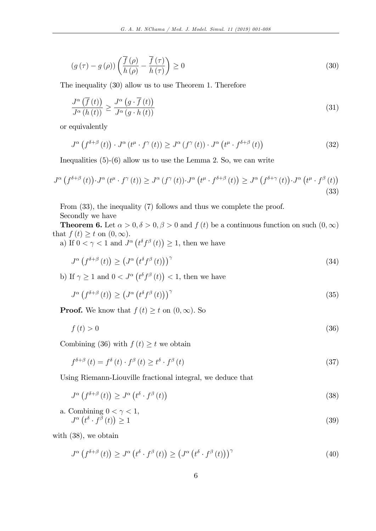$$
(g(\tau) - g(\rho)) \left( \frac{\overline{f}(\rho)}{h(\rho)} - \frac{\overline{f}(\tau)}{h(\tau)} \right) \ge 0
$$
\n(30)

The inequality (30) allow us to use Theorem 1. Therefore

$$
\frac{J^{\alpha}\left(\overline{f}\left(t\right)\right)}{J^{\alpha}\left(h\left(t\right)\right)} \ge \frac{J^{\alpha}\left(g\cdot\overline{f}\left(t\right)\right)}{J^{\alpha}\left(g\cdot h\left(t\right)\right)}\tag{31}
$$

or equivalently

$$
J^{\alpha}\left(f^{\delta+\beta}\left(t\right)\right) \cdot J^{\alpha}\left(t^{\mu}\cdot f^{\gamma}\left(t\right)\right) \geq J^{\alpha}\left(f^{\gamma}\left(t\right)\right) \cdot J^{\alpha}\left(t^{\mu}\cdot f^{\delta+\beta}\left(t\right)\right) \tag{32}
$$

Inequalities (5)-(6) allow us to use the Lemma 2. So, we can write

$$
J^{\alpha}\left(f^{\delta+\beta}\left(t\right)\right)\cdot J^{\alpha}\left(t^{\mu}\cdot f^{\gamma}\left(t\right)\right)\geq J^{\alpha}\left(f^{\gamma}\left(t\right)\right)\cdot J^{\alpha}\left(t^{\mu}\cdot f^{\delta+\beta}\left(t\right)\right)\geq J^{\alpha}\left(f^{\delta+\gamma}\left(t\right)\right)\cdot J^{\alpha}\left(t^{\mu}\cdot f^{\beta}\left(t\right)\right)
$$
\n(33)

From (33), the inequality (7) follows and thus we complete the proof. Secondly we have

**Theorem 6.** Let  $\alpha > 0, \delta > 0, \beta > 0$  and  $f(t)$  be a continuous function on such  $(0, \infty)$ that  $f(t) \geq t$  on  $(0,\infty)$ .

a) If  $0 < \gamma < 1$  and  $J^{\alpha} (\ell^{\delta} f^{\beta} (t)) \geq 1$ , then we have

$$
J^{\alpha}\left(f^{\delta+\beta}\left(t\right)\right) \ge \left(J^{\alpha}\left(t^{\delta}f^{\beta}\left(t\right)\right)\right)^{\gamma}
$$
\n(34)

b) If  $\gamma \geq 1$  and  $0 < J^{\alpha} (\ell^{\delta} f^{\beta} (t)) < 1$ , then we have

$$
J^{\alpha}\left(f^{\delta+\beta}\left(t\right)\right) \ge \left(J^{\alpha}\left(t^{\delta}f^{\beta}\left(t\right)\right)\right)^{\gamma}
$$
\n(35)

**Proof.** We know that  $f(t) \geq t$  on  $(0,\infty)$ . So

$$
f(t) > 0 \tag{36}
$$

Combining (36) with  $f(t) \geq t$  we obtain

$$
f^{\delta+\beta}(t) = f^{\delta}(t) \cdot f^{\beta}(t) \ge t^{\delta} \cdot f^{\beta}(t)
$$
\n(37)

Using Riemann-Liouville fractional integral, we deduce that

$$
J^{\alpha}\left(f^{\delta+\beta}\left(t\right)\right) \geq J^{\alpha}\left(t^{\delta}\cdot f^{\beta}\left(t\right)\right) \tag{38}
$$

a. Combining 
$$
0 < \gamma < 1
$$
,  
\n
$$
J^{\alpha} (t^{\delta} \cdot f^{\beta} (t)) \ge 1
$$
\n(39)

with (38), we obtain

$$
J^{\alpha}\left(f^{\delta+\beta}\left(t\right)\right) \geq J^{\alpha}\left(t^{\delta}\cdot f^{\beta}\left(t\right)\right) \geq \left(J^{\alpha}\left(t^{\delta}\cdot f^{\beta}\left(t\right)\right)\right)^{\gamma}
$$
\n
$$
\tag{40}
$$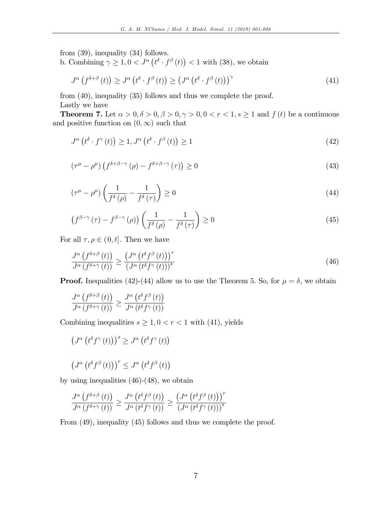from (39), inequality (34) follows.

b. Combining  $\gamma \geq 1, 0 < J^{\alpha} (t^{\delta} \cdot f^{\beta}(t)) < 1$  with (38), we obtain

$$
J^{\alpha}\left(f^{\delta+\beta}\left(t\right)\right) \geq J^{\alpha}\left(t^{\delta}\cdot f^{\beta}\left(t\right)\right) \geq \left(J^{\alpha}\left(t^{\delta}\cdot f^{\beta}\left(t\right)\right)\right)^{\gamma}
$$
\n(41)

from (40), inequality (35) follows and thus we complete the proof.

Lastly we have

**Theorem 7.** Let  $\alpha > 0, \delta > 0, \beta > 0, \gamma > 0, 0 < r < 1, s \ge 1$  and  $f(t)$  be a continuous and positive function on  $(0,\infty)$  such that

$$
J^{\alpha}\left(t^{\delta}\cdot f^{\gamma}\left(t\right)\right) \geq 1, J^{\alpha}\left(t^{\delta}\cdot f^{\beta}\left(t\right)\right) \geq 1\tag{42}
$$

$$
\left(\tau^{\mu} - \rho^{\mu}\right)\left(f^{\delta + \beta - \gamma}\left(\rho\right) - f^{\delta + \beta - \gamma}\left(\tau\right)\right) \ge 0\tag{43}
$$

$$
\left(\tau^{\mu} - \rho^{\mu}\right) \left(\frac{1}{f^{\delta}\left(\rho\right)} - \frac{1}{f^{\delta}\left(\tau\right)}\right) \ge 0\tag{44}
$$

$$
\left(f^{\beta-\gamma}\left(\tau\right)-f^{\beta-\gamma}\left(\rho\right)\right)\left(\frac{1}{f^{\delta}\left(\rho\right)}-\frac{1}{f^{\delta}\left(\tau\right)}\right)\geq 0\tag{45}
$$

For all  $\tau, \rho \in (0, t]$ . Then we have

$$
\frac{J^{\alpha}\left(f^{\delta+\beta}\left(t\right)\right)}{J^{\alpha}\left(f^{\delta+\gamma}\left(t\right)\right)} \ge \frac{\left(J^{\alpha}\left(t^{\delta}f^{\beta}\left(t\right)\right)\right)^{r}}{\left(J^{\alpha}\left(t^{\delta}f^{\gamma}\left(t\right)\right)\right)^{s}}
$$
\n(46)

**Proof.** Inequalities (42)-(44) allow us to use the Theorem 5. So, for  $\mu = \delta$ , we obtain

$$
\frac{J^{\alpha}\left(f^{\delta+\beta}\left(t\right)\right)}{J^{\alpha}\left(f^{\delta+\gamma}\left(t\right)\right)} \geq \frac{J^{\alpha}\left(t^{\delta}f^{\beta}\left(t\right)\right)}{J^{\alpha}\left(t^{\delta}f^{\gamma}\left(t\right)\right)}
$$

Combining inequalities  $s \geq 1, 0 < r < 1$  with (41), yields

$$
\left(J^{\alpha}\left(t^{\delta}f^{\gamma}\left(t\right)\right)\right)^{s} \geq J^{\alpha}\left(t^{\delta}f^{\gamma}\left(t\right)\right)
$$

$$
\left(J^{\alpha}\left(t^{\delta}f^{\beta}\left(t\right)\right)\right)^{r} \leq J^{\alpha}\left(t^{\delta}f^{\beta}\left(t\right)\right)
$$

by using inequalities (46)-(48), we obtain

$$
\frac{J^{\alpha}\left(f^{\delta+\beta}\left(t\right)\right)}{J^{\alpha}\left(f^{\delta+\gamma}\left(t\right)\right)} \geq \frac{J^{\alpha}\left(t^{\delta}f^{\beta}\left(t\right)\right)}{J^{\alpha}\left(t^{\delta}f^{\gamma}\left(t\right)\right)} \geq \frac{\left(J^{\alpha}\left(t^{\delta}f^{\beta}\left(t\right)\right)\right)^{r}}{\left(J^{\alpha}\left(t^{\delta}f^{\gamma}\left(t\right)\right)\right)^{s}}
$$

From (49), inequality (45) follows and thus we complete the proof.